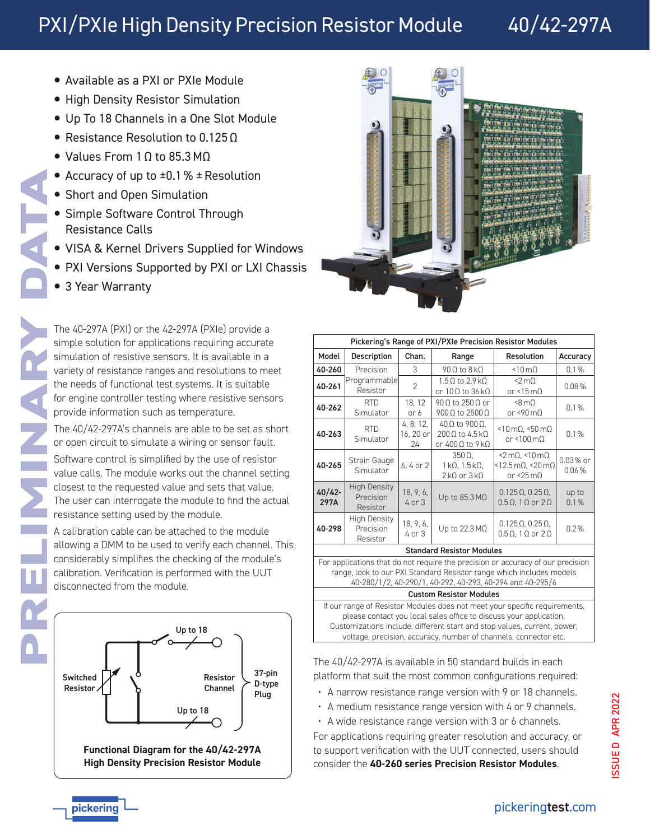# PXI/PXIe High Density Precision Resistor Module 40/42-297A

- Available as a PXI or PXIe Module
- High Density Resistor Simulation
- Up To 18 Channels in a One Slot Module
- Resistance Resolution to 0.125  $\Omega$
- Values From 1 Ω to 85.3 MΩ
- Accuracy of up to  $\pm 0.1$  %  $\pm$  Resolution
- Short and Open Simulation
- Simple Software Control Through Resistance Calls
- VISA & Kernel Drivers Supplied for Windows
- PXI Versions Supported by PXI or LXI Chassis
- 3 Year Warranty

**PRELIMINARY DATA**

The 40-297A (PXI) or the 42-297A (PXIe) provide a simple solution for applications requiring accurate simulation of resistive sensors. It is available in a variety of resistance ranges and resolutions to meet the needs of functional test systems. It is suitable for engine controller testing where resistive sensors provide information such as temperature.

The 40/42-297A's channels are able to be set as short or open circuit to simulate a wiring or sensor fault.

Software control is simplified by the use of resistor value calls. The module works out the channel setting closest to the requested value and sets that value. The user can interrogate the module to find the actual resistance setting used by the module.

A calibration cable can be attached to the module allowing a DMM to be used to verify each channel. This considerably simplifies the checking of the module's calibration. Verification is performed with the UUT disconnected from the module.



**Functional Diagram for the 40/42-297A High Density Precision Resistor Module**



| Pickering's Range of PXI/PXIe Precision Resistor Modules |                                              |                              |                                                                                     |                                                                                                                     |               |  |  |
|----------------------------------------------------------|----------------------------------------------|------------------------------|-------------------------------------------------------------------------------------|---------------------------------------------------------------------------------------------------------------------|---------------|--|--|
| Model                                                    | Description                                  | Chan.                        | Range                                                                               | <b>Resolution</b>                                                                                                   | Accuracy      |  |  |
| 40-260                                                   | Precision                                    | 3                            | $90 \Omega$ to $8 \, k\Omega$                                                       | $\leq 10 \,\mathrm{m}\Omega$                                                                                        | 0.1%          |  |  |
| 40-261                                                   | Programmable<br>Resistor                     | $\overline{2}$               | $1.5 \Omega$ to 2.9 k $\Omega$<br>or $10\Omega$ to $36\,k\Omega$                    | < 2 m<br>or <15 $m\Omega$                                                                                           |               |  |  |
| 40-262                                                   | <b>RTD</b><br>Simulator                      | 18.12<br>or 6                | $90\,\Omega$ to 250 $\Omega$ or<br>900 $\Omega$ to 2500 $\Omega$                    | $<8 \text{ m}$<br>or <90 $m\Omega$                                                                                  | 0.1%          |  |  |
| 40-263                                                   | <b>RTD</b><br>Simulator                      | 4, 8, 12,<br>16, 20 or<br>24 | $40 \Omega$ to $900 \Omega$ .<br>$200 \Omega$ to 4.5 k $\Omega$<br>or 400 Ω to 9 kΩ | $<$ 10 m $\Omega$ , $<$ 50 m $\Omega$<br>or <100 $m\Omega$                                                          | 0.1%          |  |  |
| 40-265                                                   | Strain Gauge<br>Simulator                    | 6, 4 or 2                    | $350 \Omega$ .<br>1 kΩ, 1.5 kΩ,<br>$2k\Omega$ or $3k\Omega$                         | $\leq 2 \text{ m}\Omega$ , $\leq 10 \text{ m}\Omega$<br>$<$ 12.5 m $\Omega$ , $<$ 20 m $\Omega$<br>or <25 $m\Omega$ |               |  |  |
| $40/42 -$<br>297A                                        | <b>High Density</b><br>Precision<br>Resistor | 18, 9, 6,<br>$4$ or $3$      | Up to $85.3 \text{ M}\Omega$                                                        | $0.125 \Omega$ , $0.25 \Omega$ ,<br>$0.5 \Omega$ , 1 $\Omega$ or $2 \Omega$                                         | up to<br>0.1% |  |  |
| 40-298                                                   | High Density<br>Precision<br>Resistor        | 18, 9, 6,<br>$4$ or $3$      | Up to 22.3 MΩ                                                                       | $0.125 \Omega$ , $0.25 \Omega$ ,<br>$0.5 \Omega$ , 1 $\Omega$ or $2 \Omega$                                         | 0.2%          |  |  |
|                                                          |                                              |                              | <b>Standard Resistor Modules</b>                                                    |                                                                                                                     |               |  |  |

For applications that do not require the precision or accuracy of our precision range, look to our PXI Standard Resistor range which includes models 40-280/1/2, 40-290/1, 40-292, 40-293, 40-294 and 40-295/6

Custom Resistor Modules

If our range of Resistor Modules does not meet your specific requirements, please contact you local sales office to discuss your application. Customizations include: different start and stop values, current, power, voltage, precision, accuracy, number of channels, connector etc.

The 40/42-297A is available in 50 standard builds in each platform that suit the most common configurations required:

- A narrow resistance range version with 9 or 18 channels.
- A medium resistance range version with 4 or 9 channels.
- A wide resistance range version with 3 or 6 channels.

For applications requiring greater resolution and accuracy, or to support verification with the UUT connected, users should consider the **40-260 series Precision Resistor Modules**.

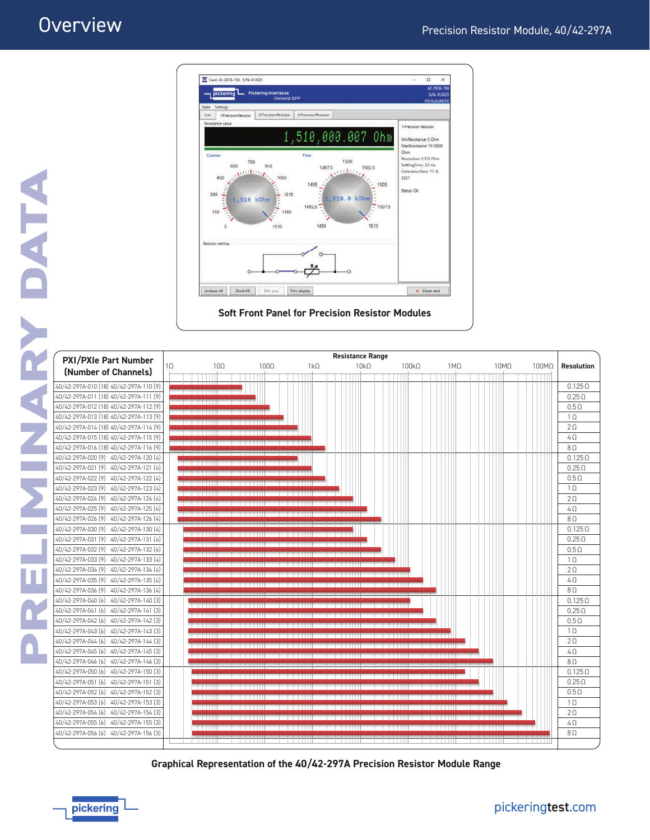

**Soft Front Panel for Precision Resistor Modules**

| <b>PXI/PXIe Part Number</b>              |           |                    |            | <b>Resistance Range</b> |              |                 |             |       |                   |
|------------------------------------------|-----------|--------------------|------------|-------------------------|--------------|-----------------|-------------|-------|-------------------|
| (Number of Channels)                     | $1\Omega$ | 100<br>$100\Omega$ | $1k\Omega$ | $10k\Omega$             | $100k\Omega$ | 1M <sub>Ω</sub> | $10M\Omega$ | 100MΩ | <b>Resolution</b> |
|                                          |           |                    |            |                         |              |                 |             |       |                   |
| 40/42-297A-010 (18) 40/42-297A-110 (9)   |           |                    |            |                         |              |                 |             |       | $0.125 \Omega$    |
| 40/42-297A-011 (18) 40/42-297A-111 (9)   |           |                    |            |                         |              |                 |             |       | $0.25 \Omega$     |
| 40/42-297A-012 (18) 40/42-297A-112 (9)   |           |                    |            |                         |              |                 |             |       | $0.5 \Omega$      |
| 40/42-297A-013 (18) 40/42-297A-113 (9)   |           |                    |            |                         |              |                 |             |       | $1\Omega$         |
| 40/42-297A-014 (18) 40/42-297A-114 (9)   |           |                    |            |                         |              |                 |             |       | $2\Omega$         |
| 40/42-297A-015 (18) 40/42-297A-115 (9)   |           |                    |            |                         |              |                 |             |       | $4\Omega$         |
| 40/42-297A-016 (18) 40/42-297A-116 (9)   |           |                    |            |                         |              |                 |             |       | $8\Omega$         |
| 40/42-297A-020 (9) 40/42-297A-120 (4)    |           |                    |            |                         |              |                 |             |       | $0.125 \Omega$    |
| 40/42-297A-121 (4)<br>40/42-297A-021 (9) |           |                    |            |                         |              |                 |             |       | $0.25 \Omega$     |
| 40/42-297A-022 (9) 40/42-297A-122 (4)    |           |                    |            |                         |              |                 |             |       | $0.5 \Omega$      |
| 40/42-297A-023 (9) 40/42-297A-123 (4)    |           |                    |            |                         |              |                 |             |       | $1 \Omega$        |
| 40/42-297A-024 (9)<br>40/42-297A-124 (4) |           |                    |            |                         |              |                 |             |       | $2\Omega$         |
| 40/42-297A-025 (9) 40/42-297A-125 (4)    |           |                    |            |                         |              |                 |             |       | $4\Omega$         |
| 40/42-297A-026 (9) 40/42-297A-126 (4)    |           |                    |            |                         |              |                 |             |       | $8\Omega$         |
| 40/42-297A-030 (9)<br>40/42-297A-130 (4) |           |                    |            |                         |              |                 |             |       | $0.125 \Omega$    |
| 40/42-297A-031 (9)<br>40/42-297A-131 (4) | -------   |                    |            |                         |              |                 |             |       | $0.25 \Omega$     |
| 40/42-297A-032 (9)<br>40/42-297A-132 (4) |           |                    |            |                         |              |                 |             |       | $0.5 \Omega$      |
| 40/42-297A-033 (9)<br>40/42-297A-133 (4) |           |                    |            |                         |              |                 |             |       | $1\Omega$         |
| 40/42-297A-034 (9)<br>40/42-297A-134 (4) |           |                    |            |                         |              |                 |             |       | $2\Omega$         |
| 40/42-297A-035 (9)<br>40/42-297A-135 (4) |           |                    |            |                         |              |                 |             |       | $4\Omega$         |
| 40/42-297A-036 (9)<br>40/42-297A-136 (4) |           |                    |            |                         |              |                 |             |       | $8\Omega$         |
| 40/42-297A-140 (3)<br>40/42-297A-040 (6) |           |                    |            |                         |              |                 |             |       | $0.125 \Omega$    |
| 40/42-297A-041 (6)<br>40/42-297A-141 (3) |           |                    |            |                         |              |                 |             |       | $0.25 \Omega$     |
| 40/42-297A-042 (6)<br>40/42-297A-142 (3) |           |                    |            |                         |              |                 |             |       | $0.5 \Omega$      |
| 40/42-297A-043 (6)<br>40/42-297A-143 (3) |           |                    |            |                         |              |                 |             |       | $1 \Omega$        |
| 40/42-297A-044 (6)<br>40/42-297A-144 (3) |           |                    |            |                         |              |                 |             |       | $2\Omega$         |
| 40/42-297A-145 (3)<br>40/42-297A-045 (6) |           |                    |            |                         |              |                 |             |       | $4\Omega$         |
| 40/42-297A-146 (3)<br>40/42-297A-046 (6) |           |                    |            |                         |              |                 |             |       | 80                |
| 40/42-297A-150 (3)<br>40/42-297A-050 (6) |           |                    |            |                         |              |                 |             |       | $0.125 \Omega$    |
| 40/42-297A-051 (6)<br>40/42-297A-151 (3) |           |                    |            |                         |              |                 |             |       | $0.25 \Omega$     |
| 40/42-297A-052 (6)<br>40/42-297A-152 (3) |           |                    |            |                         |              |                 |             |       | $0.5 \Omega$      |
| 40/42-297A-053 (6)<br>40/42-297A-153 (3) |           |                    |            |                         |              |                 |             |       | $1\Omega$         |
| 40/42-297A-054 (6) 40/42-297A-154 (3)    |           |                    |            |                         |              |                 |             |       | $2\Omega$         |
| 40/42-297A-055 (6)<br>40/42-297A-155 (3) |           |                    |            |                         |              |                 |             |       | $4\Omega$         |
| 40/42-297A-156 (3)<br>40/42-297A-056 (6) |           |                    |            |                         |              |                 |             |       | $8\Omega$         |
|                                          |           |                    |            |                         |              |                 |             |       |                   |
|                                          |           |                    |            |                         |              |                 |             |       |                   |

**Graphical Representation of the 40/42-297A Precision Resistor Module Range**

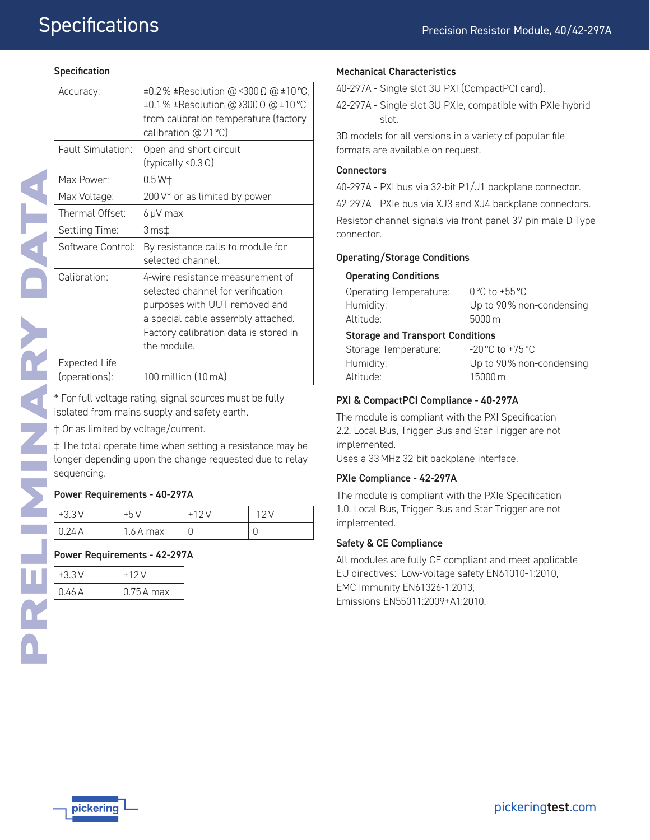#### **Specification**

| ±0.2% ±Resolution @ <300 Ω @ ±10 °C,<br>Accuracy:<br>±0.1% ±Resolution @ >300 Ω @ ±10 °C<br>from calibration temperature (factory<br>calibration @ 21 °C)<br>Fault Simulation:<br>Open and short circuit<br>(typically <0.3 Ω)<br>Max Power:<br>$0.5 W+$<br>Max Voltage:<br>200 V* or as limited by power<br>Thermal Offset:<br>6 µV max<br>Settling Time:<br>$3 ms+$<br>Software Control:<br>By resistance calls to module for<br>selected channel.<br>Calibration:<br>4-wire resistance measurement of<br>selected channel for verification<br>purposes with UUT removed and<br>a special cable assembly attached.<br>Factory calibration data is stored in |  |  |  |  |  |
|---------------------------------------------------------------------------------------------------------------------------------------------------------------------------------------------------------------------------------------------------------------------------------------------------------------------------------------------------------------------------------------------------------------------------------------------------------------------------------------------------------------------------------------------------------------------------------------------------------------------------------------------------------------|--|--|--|--|--|
|                                                                                                                                                                                                                                                                                                                                                                                                                                                                                                                                                                                                                                                               |  |  |  |  |  |
|                                                                                                                                                                                                                                                                                                                                                                                                                                                                                                                                                                                                                                                               |  |  |  |  |  |
|                                                                                                                                                                                                                                                                                                                                                                                                                                                                                                                                                                                                                                                               |  |  |  |  |  |
|                                                                                                                                                                                                                                                                                                                                                                                                                                                                                                                                                                                                                                                               |  |  |  |  |  |
|                                                                                                                                                                                                                                                                                                                                                                                                                                                                                                                                                                                                                                                               |  |  |  |  |  |
|                                                                                                                                                                                                                                                                                                                                                                                                                                                                                                                                                                                                                                                               |  |  |  |  |  |
|                                                                                                                                                                                                                                                                                                                                                                                                                                                                                                                                                                                                                                                               |  |  |  |  |  |
| the module.                                                                                                                                                                                                                                                                                                                                                                                                                                                                                                                                                                                                                                                   |  |  |  |  |  |
| <b>Expected Life</b><br>(operations):<br>100 million (10 mA)                                                                                                                                                                                                                                                                                                                                                                                                                                                                                                                                                                                                  |  |  |  |  |  |
| * For full voltage rating, signal sources must be fully<br>isolated from mains supply and safety earth.<br>† Or as limited by voltage/current.<br>‡ The total operate time when setting a resistance may be<br>longer depending upon the change requested due to relay<br>sequencing.                                                                                                                                                                                                                                                                                                                                                                         |  |  |  |  |  |
| Power Requirements - 40-297A                                                                                                                                                                                                                                                                                                                                                                                                                                                                                                                                                                                                                                  |  |  |  |  |  |
| $+3.3V$<br>$+12V$<br>$-12V$<br>$+5V$                                                                                                                                                                                                                                                                                                                                                                                                                                                                                                                                                                                                                          |  |  |  |  |  |
| 0.24A<br>$1.6A$ max<br>O<br>0                                                                                                                                                                                                                                                                                                                                                                                                                                                                                                                                                                                                                                 |  |  |  |  |  |
| Yower Requirements - 42-297A                                                                                                                                                                                                                                                                                                                                                                                                                                                                                                                                                                                                                                  |  |  |  |  |  |
| $+3.3V$<br>$+12V$                                                                                                                                                                                                                                                                                                                                                                                                                                                                                                                                                                                                                                             |  |  |  |  |  |
| 0.46A<br>$0.75A$ max                                                                                                                                                                                                                                                                                                                                                                                                                                                                                                                                                                                                                                          |  |  |  |  |  |
|                                                                                                                                                                                                                                                                                                                                                                                                                                                                                                                                                                                                                                                               |  |  |  |  |  |
|                                                                                                                                                                                                                                                                                                                                                                                                                                                                                                                                                                                                                                                               |  |  |  |  |  |

| $+3.3V$ | +5 V      | $+12$ | $-12$ <sup>'</sup> |
|---------|-----------|-------|--------------------|
| U.24 A  | 1.6 A max | ັ     | U                  |

# Power Requirements - 42-297A

| $+3.3V$ | $+12V$      |
|---------|-------------|
| 0.46 A  | $0.75A$ max |

40-297A - Single slot 3U PXI (CompactPCI card).

42-297A - Single slot 3U PXIe, compatible with PXIe hybrid slot.

3D models for all versions in a variety of popular file formats are available on request.

#### **Connectors**

Altitude:

40-297A - PXI bus via 32-bit P1/J1 backplane connector.

42-297A - PXIe bus via XJ3 and XJ4 backplane connectors.

Resistor channel signals via front panel 37-pin male D-Type connector.

#### Operating/Storage Conditions

#### Operating Conditions

| Operating Temperature:                  | $0^{\circ}$ C to +55 $^{\circ}$ C                  |  |  |
|-----------------------------------------|----------------------------------------------------|--|--|
| Humidity:                               | Up to 90% non-condensing                           |  |  |
| Altitude:                               | $5000 \,\mathrm{m}$                                |  |  |
| <b>Storage and Transport Conditions</b> |                                                    |  |  |
| Storage Temperature:                    | $-20\,^{\circ}\text{C}$ to $+75\,^{\circ}\text{C}$ |  |  |
| Humidity:                               | Up to 90% non-condensing                           |  |  |

15000m

## PXI & CompactPCI Compliance - 40-297A

The module is compliant with the PXI Specification 2.2. Local Bus, Trigger Bus and Star Trigger are not implemented.

Uses a 33MHz 32-bit backplane interface.

#### PXIe Compliance - 42-297A

The module is compliant with the PXIe Specification 1.0. Local Bus, Trigger Bus and Star Trigger are not implemented.

#### Safety & CE Compliance

All modules are fully CE compliant and meet applicable EU directives: Low-voltage safety EN61010-1:2010, EMC Immunity EN61326-1:2013, Emissions EN55011:2009+A1:2010.

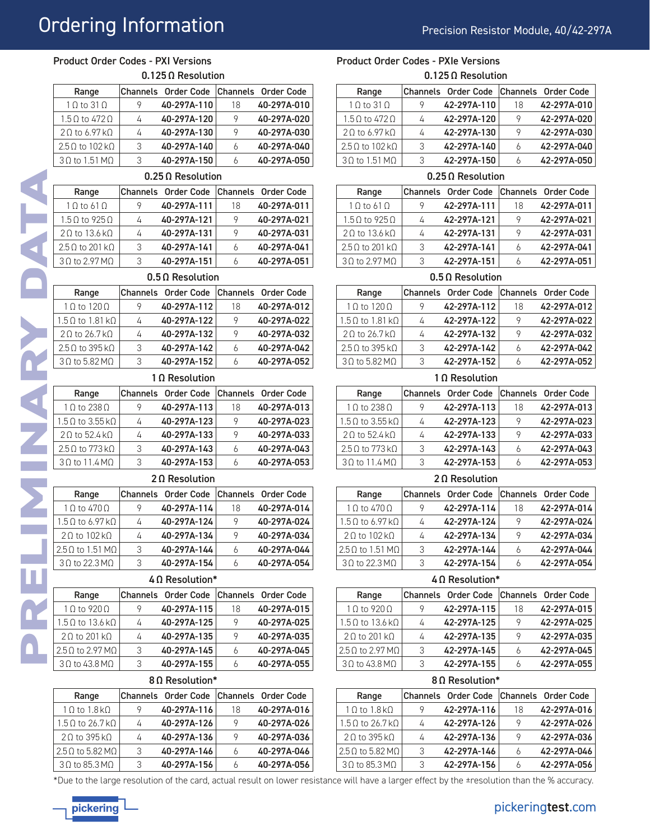# Ordering Information

| $0.125 \Omega$ Resolution |            |                            |    |                     |  |  |
|---------------------------|------------|----------------------------|----|---------------------|--|--|
| Range                     |            | Channels Order Code        |    | Channels Order Code |  |  |
| 1 0 to 31 0               | 9          | 40-297A-110                | 18 | 40-297A-010         |  |  |
| 1.5 Q to 472 Q            | 4          | 40-297A-120                | 9  | 40-297A-020         |  |  |
| 20 to 6.97 kO             | 4          | 40-297A-130                | 9  | 40-297A-030         |  |  |
| $2.50$ to $102k0$         | 3          | 40-297A-140                | 6  | 40-297A-040         |  |  |
| 30 to 1.51 MO             | 3          | 40-297A-150                | 6  | 40-297A-050         |  |  |
| $0.25 \Omega$ Resolution  |            |                            |    |                     |  |  |
| Range                     |            | <b>Channels</b> Order Code |    | Channels Order Code |  |  |
| 1 0 to 61 0               | 9          | 40-297A-111                | 18 | 40-297A-011         |  |  |
| $1.5.0 + 0.025.0$         | $\sqrt{2}$ | $1.0 - 2071 - 121$         | O  | $1.0 - 2971 - 021$  |  |  |

# 10 - 297A - 12 2 Ω to 13.6 kΩ | 4 40-297A-131 | 9 40-297A-031  $3\Omega$  to 2.97 M $\Omega$  | 3 40-297A-151 | 6 40-297A-051

#### 0.5 Ω Resolution

| $0.25 \Omega$ Resolution               |                 |                         |                 |                            |  |  |  |
|----------------------------------------|-----------------|-------------------------|-----------------|----------------------------|--|--|--|
| Range                                  |                 | Channels Order Code     |                 | <b>Channels</b> Order Code |  |  |  |
| $1 \Omega$ to 61 $\Omega$              | 9               | 40-297A-111             | 18              | 40-297A-011                |  |  |  |
| $1.5 \Omega$ to $925 \Omega$           | 4               | 40-297A-121             | 9               | 40-297A-021                |  |  |  |
| $2\Omega$ to 13.6 k $\Omega$           | 4               | 40-297A-131             | 9               | 40-297A-031                |  |  |  |
| 2.5 Ω to 201 kΩ                        | 3               | 40-297A-141             | 6               | 40-297A-041                |  |  |  |
| 3 Ω to 2.97 MΩ                         | 3               | 40-297A-151             | 6               | 40-297A-051                |  |  |  |
| $0.5 \Omega$ Resolution                |                 |                         |                 |                            |  |  |  |
| Range                                  |                 | Channels Order Code     | Channels        | <b>Order Code</b>          |  |  |  |
| $1 \Omega$ to $120 \Omega$             | 9               | 40-297A-112             | 18              | 40-297A-012                |  |  |  |
| $1.5 \Omega$ to $1.81 \text{ k}\Omega$ | 4               | 40-297A-122             | 9               | 40-297A-022                |  |  |  |
| 2 Ω to 26.7 kΩ                         | 4               | 40-297A-132             | 9               | 40-297A-032                |  |  |  |
| $2.5 \Omega$ to 395 k $\Omega$         | 3               | 40-297A-142             | 6               | 40-297A-042                |  |  |  |
| 3 Ω to 5.82 MΩ                         | 3               | 40-297A-152             | 6               | 40-297A-052                |  |  |  |
|                                        |                 | 1 $\Omega$ Resolution   |                 |                            |  |  |  |
| Range                                  |                 | Channels Order Code     | <b>Channels</b> | Order Code                 |  |  |  |
| $1 \Omega$ to 238 $\Omega$             | 9               | 40-297A-113             | 18              | 40-297A-013                |  |  |  |
| $1.5 \Omega$ to 3.55 k $\Omega$        | 4               | 40-297A-123             | 9               | 40-297A-023                |  |  |  |
| $2\Omega$ to 52.4 k $\Omega$           | 4               | 40-297A-133             | 9               | 40-297A-033                |  |  |  |
| 2.5 Ω to 773 kΩ                        | 3               | 40-297A-143             | 6               | 40-297A-043                |  |  |  |
| 3Ω to 11.4 MΩ                          | 3               | 40-297A-153             | 6               | 40-297A-053                |  |  |  |
|                                        |                 | $2 \Omega$ Resolution   |                 |                            |  |  |  |
| Range                                  | <b>Channels</b> | <b>Order Code</b>       | Channels        | <b>Order Code</b>          |  |  |  |
| 1 Q to 470 Q                           | 9               | 40-297A-114             | 18              | 40-297A-014                |  |  |  |
| $1.5 \Omega$ to 6.97 k $\Omega$        | 4               | 40-297A-124             | 9               | 40-297A-024                |  |  |  |
| $2 \Omega$ to $102 \text{k}\Omega$     | 4               | 40-297A-134             | 9               | 40-297A-034                |  |  |  |
| $2.5 \Omega$ to 1.51 M $\Omega$        | 3               | 40-297A-144             | 6               | 40-297A-044                |  |  |  |
| 3 Ω to 22.3 MΩ                         | 3               | 40-297A-154             | 6               | 40-297A-054                |  |  |  |
|                                        |                 | $4\,\Omega$ Resolution* |                 |                            |  |  |  |
| Range                                  |                 | Channels Order Code     | Channels        | <b>Order Code</b>          |  |  |  |
| $1 \Omega$ to $920 \Omega$             | 9               | 40-297A-115             | 18              | 40-297A-015                |  |  |  |
| $1.5 \Omega$ to $13.6 \text{ k}\Omega$ | 4               | 40-297A-125             | 9               | 40-297A-025                |  |  |  |
| 2 Ω to 201 kΩ                          | 4               | 40-297A-135             | 9               | 40-297A-035                |  |  |  |
| 2.5 Ω to 2.97 MΩ                       | 3               | 40-297A-145             | 6               | 40-297A-045                |  |  |  |

#### 1 Ω Resolution

| Range                         |   | Channels Order Code |    | Channels Order Code |
|-------------------------------|---|---------------------|----|---------------------|
| $1 \Omega$ to 238 $\Omega$    | 9 | 40-297A-113         | 18 | 40-297A-013         |
| $1.50$ to $3.55$ kO           | 4 | 40-297A-123         | 9  | 40-297A-023         |
| $2 \Omega$ to 52.4 k $\Omega$ | 4 | 40-297A-133         | 9  | 40-297A-033         |
| $2.50$ to $773k0$             | З | 40-297A-143         | h  | 40-297A-043         |
| $3\Omega$ to 11.4 M $\Omega$  | 3 | 40-297A-153         | 6  | 40-297A-053         |

#### 2 Ω Resolution

| Range                              |   | Channels Order Code |    | Channels Order Code |
|------------------------------------|---|---------------------|----|---------------------|
| $1 \Omega$ to 470 $\Omega$         | 9 | 40-297A-114         | 18 | 40-297A-014         |
| $1.5 \Omega$ to 6.97 k $\Omega$    | 4 | 40-297A-124         | 9  | 40-297A-024         |
| $2 \Omega$ to $102 \text{k}\Omega$ | 4 | 40-297A-134         | 9  | 40-297A-034         |
| $2.5 \Omega$ to 1.51 M $\Omega$    | 3 | 40-297A-144         | 6  | 40-297A-044         |
| $3\Omega$ to 22.3 M $\Omega$       | 3 | 40-297A-154         | 6  | 40-297A-054         |

#### 4 Ω Resolution\*

| Range                               |   | Channels Order Code |    | Channels Order Code |
|-------------------------------------|---|---------------------|----|---------------------|
| $1 \Omega$ to $920 \Omega$          |   | 40-297A-115         | 18 | 40-297A-015         |
| $1.5 \Omega$ to $13.6 \, k\Omega$   | 4 | 40-297A-125         | 9  | 40-297A-025         |
| $2 \Omega$ to $201 \text{ k}\Omega$ | 4 | 40-297A-135         | 9  | 40-297A-035         |
| 2.5 Ω to 2.97 MΩ                    | З | 40-297A-145         | 6  | 40-297A-045         |
| $3\Omega$ to 43.8 M $\Omega$        | 3 | 40-297A-155         | 6  | 40-297A-055         |

#### 8 Ω Resolution\*

| Range                           |   | Channels Order Code |    | Channels Order Code |
|---------------------------------|---|---------------------|----|---------------------|
| 1 0 to 1.8 kO                   | 9 | 40-297A-116         | 18 | 40-297A-016         |
| $1.5 \Omega$ to 26.7 k $\Omega$ | 4 | 40-297A-126         | 9  | 40-297A-026         |
| $2\Omega$ to 395 k $\Omega$     | 4 | 40-297A-136         | 9  | 40-297A-036         |
| $2.5 \Omega$ to 5.82 M $\Omega$ | 3 | 40-297A-146         | 6  | 40-297A-046         |
| $3\Omega$ to 85.3 M $\Omega$    | 3 | 40-297A-156         | 6  | 40-297A-056         |

#### Product Order Codes - PXIe Versions  $0.1250$  Becaluti

| U. IZƏN RESOLULION     |  |                                         |    |             |
|------------------------|--|-----------------------------------------|----|-------------|
| Range                  |  | Channels Order Code Channels Order Code |    |             |
| $10$ to $310$          |  | 42-297A-110                             | 18 | 42-297A-010 |
| $1.50$ to 472 $\Omega$ |  | 42-297A-120                             | Q  | 42-297A-020 |
| 2.0 to 6.97 kQ         |  | 42-297A-130                             |    | 42-297A-030 |

| 2.5 O to 102 kO | 42-297A-140 | 42-297A-040 |
|-----------------|-------------|-------------|
| 30 to 1.51 MO   | 42-297A-150 | 42-297A-050 |
|                 |             |             |

#### 0.25 Ω Resolution

| Range                        |   | Channels Order Code |    | Channels Order Code |
|------------------------------|---|---------------------|----|---------------------|
| $1 \Omega$ to 61 $\Omega$    | 9 | 42-297A-111         | 18 | 42-297A-011         |
| $1.50$ to $9250$             | 4 | 42-297A-121         | 9  | 42-297A-021         |
| 20 to 13.6 kQ                | 4 | 42-297A-131         | 9  | 42-297A-031         |
| $2.50$ to $201$ kO           | 3 | 42-297A-141         | 6  | 42-297A-041         |
| $3\Omega$ to 2.97 M $\Omega$ | 3 | 42-297A-151         | 6  | 42-297A-051         |

#### 0.5 Ω Resolution

| Range                               |   | Channels Order Code |    | Channels Order Code |
|-------------------------------------|---|---------------------|----|---------------------|
| $1 \Omega$ to $120 \Omega$          | 9 | 42-297A-112         | 18 | 42-297A-012         |
| $1.5$ Ω to 1.81 kΩ                  | 4 | 42-297A-122         | 9  | 42-297A-022         |
| $2 \Omega$ to $26.7 \text{k}\Omega$ | Δ | 42-297A-132         | 9  | 42-297A-032         |
| $2.5 \Omega$ to 395 k $\Omega$      | 3 | 42-297A-142         | 6  | 42-297A-042         |
| $3\Omega$ to 5.82 M $\Omega$        | 3 | 42-297A-152         | 6  | 42-297A-052         |

#### 1 Ω Resolution

| Range                                |   | Channels Order Code |    | Channels Order Code |
|--------------------------------------|---|---------------------|----|---------------------|
| $1 \Omega$ to 238 $\Omega$           | Q | 42-297A-113         | 18 | 42-297A-013         |
| $1.5 \Omega$ to 3.55 k $\Omega$      | 4 | 42-297A-123         | 9  | 42-297A-023         |
| $2 \Omega$ to 52.4 k $\Omega$        | 4 | 42-297A-133         | 9  | 42-297A-033         |
| $2.5 \Omega$ to $773 \text{k}\Omega$ | 3 | 42-297A-143         | 6  | 42-297A-043         |
| 30 to 11.4 MO                        | 3 | 42-297A-153         | 6  | 42-297A-053         |

#### 2 Ω Resolution

| Range                           |   | Channels Order Code |    | Channels Order Code |
|---------------------------------|---|---------------------|----|---------------------|
| $1 \Omega$ to 470 $\Omega$      | 9 | 42-297A-114         | 18 | 42-297A-014         |
| $1.5 \Omega$ to 6.97 k $\Omega$ | 4 | 42-297A-124         | 9  | 42-297A-024         |
| 20 to 102 kO                    |   | 42-297A-134         | 9  | 42-297A-034         |
| $2.5 \Omega$ to 1.51 M $\Omega$ | 3 | 42-297A-144         | 6  | 42-297A-044         |
| $3\Omega$ to 22.3 M $\Omega$    | 3 | 42-297A-154         | 6  | 42-297A-054         |

#### 4 Ω Resolution\*

| Range                      |   | Channels Order Code   Channels Order Code |    |             |
|----------------------------|---|-------------------------------------------|----|-------------|
| $1 \Omega$ to $920 \Omega$ |   | 42-297A-115                               | 18 | 42-297A-015 |
| $1.5$ Ω to 13.6 kΩ         |   | 42-297A-125                               | 9  | 42-297A-025 |
| 20 to 201 kO               |   | 42-297A-135                               | 9  | 42-297A-035 |
| $2.5 \Omega$ to 2.97 MQ    | З | 42-297A-145                               |    | 42-297A-045 |
| 30 to 43.8 MO              | 3 | 42-297A-155                               |    | 42-297A-055 |

#### 8 Ω Resolution\*

| Range                           |   | Channels Order Code |    | Channels Order Code |
|---------------------------------|---|---------------------|----|---------------------|
| $1 \Omega$ to $1.8 \, k\Omega$  |   | 42-297A-116         | 18 | 42-297A-016         |
| 1.5 Ω to 26.7 kΩ                |   | 42-297A-126         | 9  | 42-297A-026         |
| $2 \Omega$ to 395 k $\Omega$    |   | 42-297A-136         | 9  | 42-297A-036         |
| $2.5 \Omega$ to 5.82 M $\Omega$ | 3 | 42-297A-146         | 6  | 42-297A-046         |
| $3\Omega$ to 85.3 M $\Omega$    |   | 42-297A-156         |    | 42-297A-056         |

\*Due to the large resolution of the card, actual result on lower resistance will have a larger effect by the ±resolution than the % accuracy.

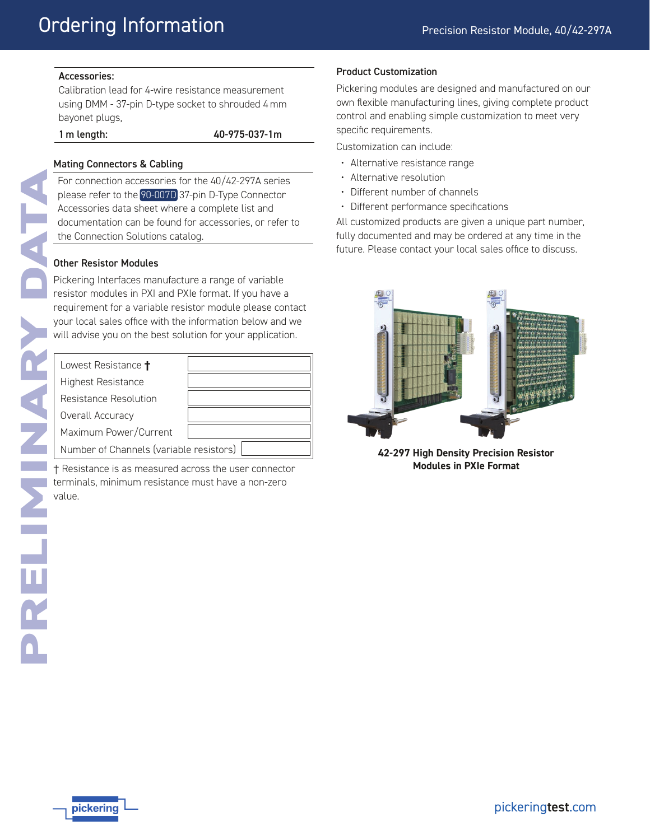#### Accessories:

Calibration lead for 4-wire resistance measurement using DMM - 37-pin D-type socket to shrouded 4 mm bayonet plugs,

1 m length: 40-975-037-1m

### Other Resistor Modules

| <b>Mating Connectors &amp; Cabling</b>                                                                                                                                               |  |  |  |  |
|--------------------------------------------------------------------------------------------------------------------------------------------------------------------------------------|--|--|--|--|
| For connection accessories for the 40/42-297A series<br>please refer to the 90-007D 37-pin D-Type Connector                                                                          |  |  |  |  |
| Accessories data sheet where a complete list and<br>documentation can be found for accessories, or refer to<br>the Connection Solutions catalog.                                     |  |  |  |  |
| <b>Other Resistor Modules</b>                                                                                                                                                        |  |  |  |  |
| Pickering Interfaces manufacture a range of variable<br>resistor modules in PXI and PXIe format. If you have a                                                                       |  |  |  |  |
| requirement for a variable resistor module please contact<br>your local sales office with the information below and we<br>will advise you on the best solution for your application. |  |  |  |  |
| Lowest Resistance +                                                                                                                                                                  |  |  |  |  |
| <b>Highest Resistance</b>                                                                                                                                                            |  |  |  |  |
| Resistance Resolution                                                                                                                                                                |  |  |  |  |
| Overall Accuracy                                                                                                                                                                     |  |  |  |  |
| Maximum Power/Current                                                                                                                                                                |  |  |  |  |
| Number of Channels (variable resistors)                                                                                                                                              |  |  |  |  |
| † Resistance is as measured across the user connector                                                                                                                                |  |  |  |  |
| terminals, minimum resistance must have a non-zero                                                                                                                                   |  |  |  |  |
| value.                                                                                                                                                                               |  |  |  |  |
|                                                                                                                                                                                      |  |  |  |  |
|                                                                                                                                                                                      |  |  |  |  |
|                                                                                                                                                                                      |  |  |  |  |
|                                                                                                                                                                                      |  |  |  |  |
|                                                                                                                                                                                      |  |  |  |  |
|                                                                                                                                                                                      |  |  |  |  |

#### Product Customization

Pickering modules are designed and manufactured on our own flexible manufacturing lines, giving complete product control and enabling simple customization to meet very specific requirements.

Customization can include:

- Alternative resistance range
- Alternative resolution
- Different number of channels
- Different performance specifications

All customized products are given a unique part number, fully documented and may be ordered at any time in the future. Please contact your local sales office to discuss.



**42-297 High Density Precision Resistor Modules in PXIe Format**

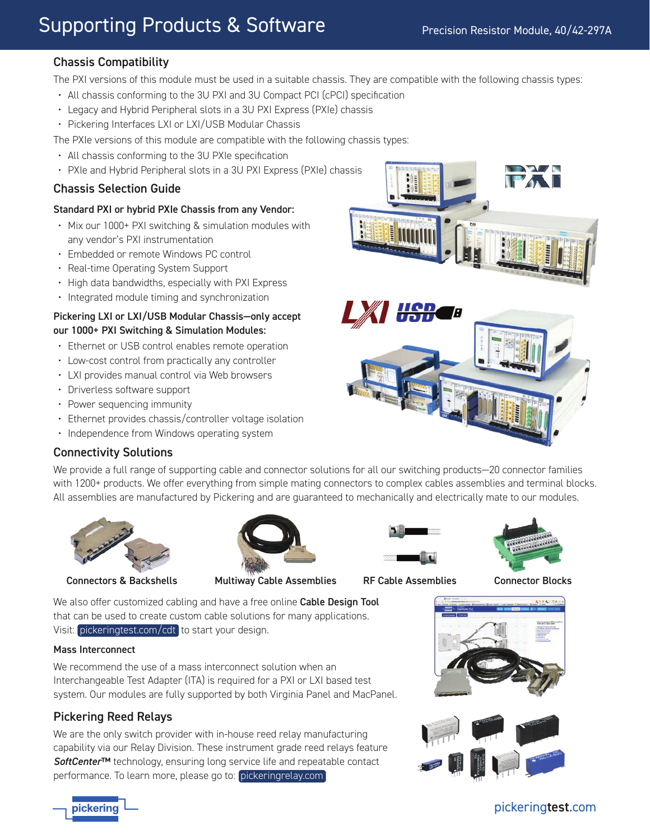# Chassis Compatibility

The PXI versions of this module must be used in a suitable chassis. They are compatible with the following chassis types:

- All chassis conforming to the 3U PXI and 3U Compact PCI (cPCI) specification
- Legacy and Hybrid Peripheral slots in a 3U PXI Express (PXIe) chassis
- Pickering Interfaces LXI or LXI/USB Modular Chassis

The PXIe versions of this module are compatible with the following chassis types:

- All chassis conforming to the 3U PXIe specification
- PXIe and Hybrid Peripheral slots in a 3U PXI Express (PXIe) chassis

# Chassis Selection Guide

### Standard PXI or hybrid PXIe Chassis from any Vendor:

- Mix our 1000+ PXI switching & simulation modules with any vendor's PXI instrumentation
- Embedded or remote Windows PC control
- Real-time Operating System Support
- High data bandwidths, especially with PXI Express
- Integrated module timing and synchronization

### Pickering LXI or LXI/USB Modular Chassis—only accept our 1000+ PXI Switching & Simulation Modules:

- Ethernet or USB control enables remote operation
- Low-cost control from practically any controller
- LXI provides manual control via Web browsers
- Driverless software support
- Power sequencing immunity
- Ethernet provides chassis/controller voltage isolation
- Independence from Windows operating system

# Connectivity Solutions

We provide a full range of supporting cable and connector solutions for all our switching products—20 connector families with 1200+ products. We offer everything from simple mating connectors to complex cables assemblies and terminal blocks. All assemblies are manufactured by Pickering and are guaranteed to mechanically and electrically mate to our modules.





Connectors & Backshells Multiway Cable Assemblies RF Cable Assemblies Connector Blocks



<u>UCD</u>



We also offer customized cabling and have a free online Cable Design Tool that can be used to create custom cable solutions for many applications. Visit: [pickeringtest.com/cdt](http://www.pickeringtest.com/cdt) to start your design.

#### Mass Interconnect

We recommend the use of a mass interconnect solution when an Interchangeable Test Adapter (ITA) is required for a PXI or LXI based test system. Our modules are fully supported by both Virginia Panel and MacPanel.

# Pickering Reed Relays

We are the only switch provider with in-house reed relay manufacturing capability via our Relay Division. These instrument grade reed relays feature *SoftCenter*™ technology, ensuring long service life and repeatable contact performance. To learn more, please go to: [pickeringrelay.com](http://www.pickeringrelay.com)





![](_page_5_Picture_42.jpeg)